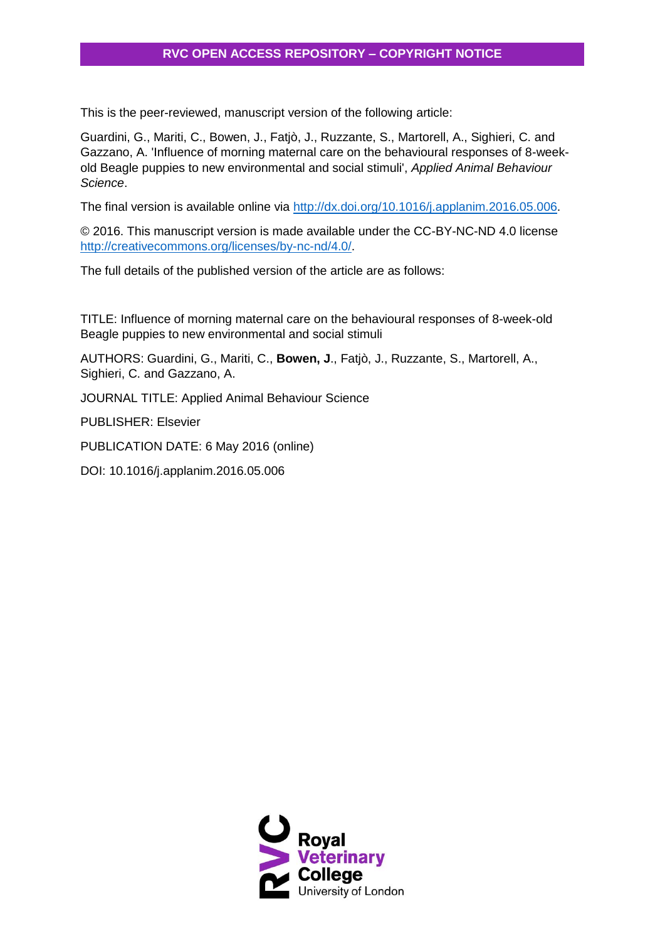### **RVC OPEN ACCESS REPOSITORY – COPYRIGHT NOTICE**

This is the peer-reviewed, manuscript version of the following article:

Guardini, G., Mariti, C., Bowen, J., Fatjò, J., Ruzzante, S., Martorell, A., Sighieri, C. and Gazzano, A. 'Influence of morning maternal care on the behavioural responses of 8-weekold Beagle puppies to new environmental and social stimuli', *Applied Animal Behaviour Science*.

The final version is available online via [http://dx.doi.org/10.1016/j.applanim.2016.05.006.](http://dx.doi.org/10.1016/j.applanim.2016.05.006)

© 2016. This manuscript version is made available under the CC-BY-NC-ND 4.0 license [http://creativecommons.org/licenses/by-nc-nd/4.0/.](http://creativecommons.org/licenses/by-nc-nd/4.0/)

The full details of the published version of the article are as follows:

TITLE: Influence of morning maternal care on the behavioural responses of 8-week-old Beagle puppies to new environmental and social stimuli

AUTHORS: Guardini, G., Mariti, C., **Bowen, J**., Fatjò, J., Ruzzante, S., Martorell, A., Sighieri, C. and Gazzano, A.

JOURNAL TITLE: Applied Animal Behaviour Science

PUBLISHER: Elsevier

PUBLICATION DATE: 6 May 2016 (online)

DOI: 10.1016/j.applanim.2016.05.006

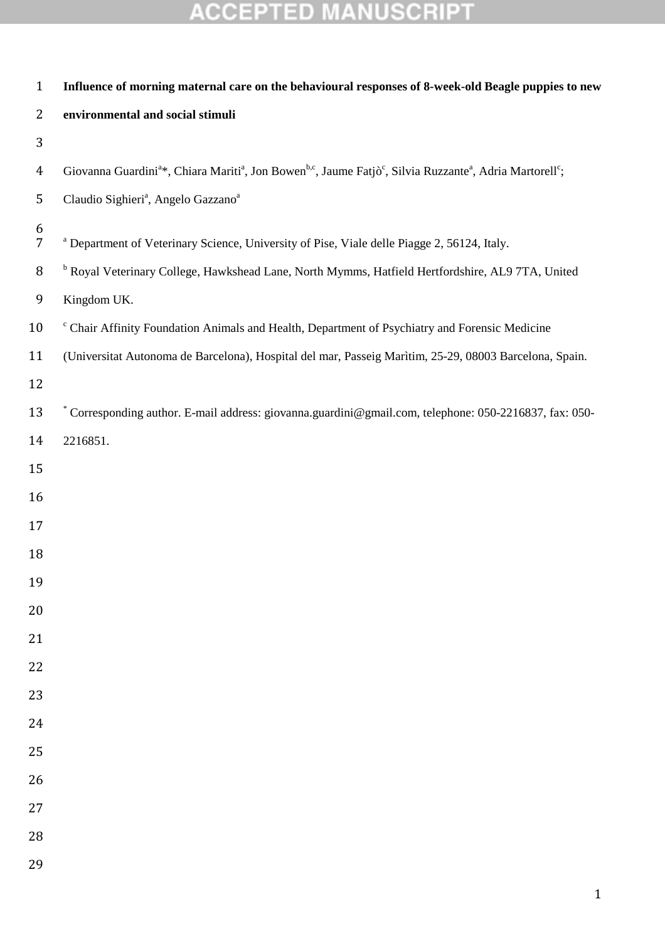# **ACCEPTED MANUSCRIPT**

| $\mathbf{1}$        | Influence of morning maternal care on the behavioural responses of 8-week-old Beagle puppies to new                                                                                |
|---------------------|------------------------------------------------------------------------------------------------------------------------------------------------------------------------------------|
| $\overline{2}$      | environmental and social stimuli                                                                                                                                                   |
| 3                   |                                                                                                                                                                                    |
| $\overline{4}$      | Giovanna Guardini <sup>a</sup> *, Chiara Mariti <sup>a</sup> , Jon Bowen <sup>b,c</sup> , Jaume Fatjò <sup>c</sup> , Silvia Ruzzante <sup>a</sup> , Adria Martorell <sup>c</sup> ; |
| $\sqrt{5}$          | Claudio Sighieri <sup>a</sup> , Angelo Gazzano <sup>a</sup>                                                                                                                        |
| 6<br>$\overline{7}$ | <sup>a</sup> Department of Veterinary Science, University of Pise, Viale delle Piagge 2, 56124, Italy.                                                                             |
| $\, 8$              | <sup>b</sup> Royal Veterinary College, Hawkshead Lane, North Mymms, Hatfield Hertfordshire, AL9 7TA, United                                                                        |
| 9                   | Kingdom UK.                                                                                                                                                                        |
| 10                  | <sup>c</sup> Chair Affinity Foundation Animals and Health, Department of Psychiatry and Forensic Medicine                                                                          |
| 11                  | (Universitat Autonoma de Barcelona), Hospital del mar, Passeig Marìtim, 25-29, 08003 Barcelona, Spain.                                                                             |
| 12                  |                                                                                                                                                                                    |
| 13                  | * Corresponding author. E-mail address: giovanna.guardini@gmail.com, telephone: 050-2216837, fax: 050-                                                                             |
| 14                  | 2216851.                                                                                                                                                                           |
| 15                  |                                                                                                                                                                                    |
| 16                  |                                                                                                                                                                                    |
| 17                  |                                                                                                                                                                                    |
| 18                  |                                                                                                                                                                                    |
| 19                  |                                                                                                                                                                                    |
| 20                  |                                                                                                                                                                                    |
| 21                  |                                                                                                                                                                                    |
| 22                  |                                                                                                                                                                                    |
| 23                  |                                                                                                                                                                                    |
| 24                  |                                                                                                                                                                                    |
| 25                  |                                                                                                                                                                                    |
| 26                  |                                                                                                                                                                                    |
| 27                  |                                                                                                                                                                                    |
| 28                  |                                                                                                                                                                                    |
| 29                  |                                                                                                                                                                                    |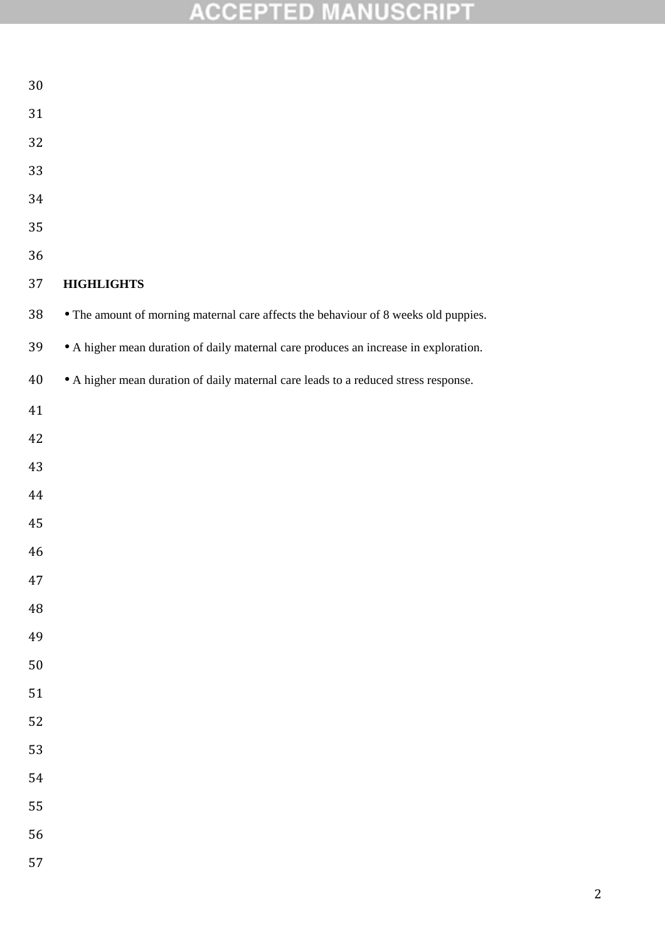# **ACCEPTED MANUSCRIPT**

| 30       |                                                                                      |
|----------|--------------------------------------------------------------------------------------|
| 31       |                                                                                      |
| 32       |                                                                                      |
| 33       |                                                                                      |
| 34       |                                                                                      |
| 35       |                                                                                      |
| 36       |                                                                                      |
| 37       | <b>HIGHLIGHTS</b>                                                                    |
| 38       | • The amount of morning maternal care affects the behaviour of 8 weeks old puppies.  |
| 39       | • A higher mean duration of daily maternal care produces an increase in exploration. |
| 40       | • A higher mean duration of daily maternal care leads to a reduced stress response.  |
| 41       |                                                                                      |
| 42       |                                                                                      |
| 43       |                                                                                      |
| 44       |                                                                                      |
| 45       |                                                                                      |
| 46       |                                                                                      |
| 47       |                                                                                      |
| $\rm 48$ |                                                                                      |
| 49       |                                                                                      |
| 50       |                                                                                      |
| 51       |                                                                                      |
| 52       |                                                                                      |
| 53       |                                                                                      |
| 54       |                                                                                      |
| 55       |                                                                                      |
| 56       |                                                                                      |
| 57       |                                                                                      |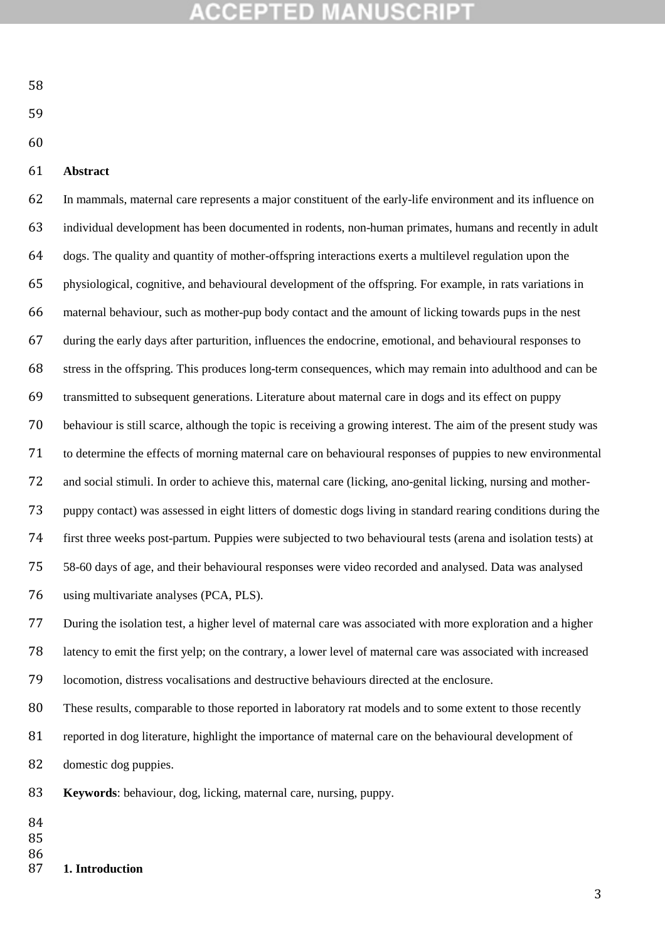- 
- 

### **Abstract**

 In mammals, maternal care represents a major constituent of the early-life environment and its influence on individual development has been documented in rodents, non-human primates, humans and recently in adult dogs. The quality and quantity of mother-offspring interactions exerts a multilevel regulation upon the physiological, cognitive, and behavioural development of the offspring. For example, in rats variations in maternal behaviour, such as mother-pup body contact and the amount of licking towards pups in the nest during the early days after parturition, influences the endocrine, emotional, and behavioural responses to stress in the offspring. This produces long-term consequences, which may remain into adulthood and can be transmitted to subsequent generations. Literature about maternal care in dogs and its effect on puppy behaviour is still scarce, although the topic is receiving a growing interest. The aim of the present study was to determine the effects of morning maternal care on behavioural responses of puppies to new environmental and social stimuli. In order to achieve this, maternal care (licking, ano-genital licking, nursing and mother- puppy contact) was assessed in eight litters of domestic dogs living in standard rearing conditions during the first three weeks post-partum. Puppies were subjected to two behavioural tests (arena and isolation tests) at 58-60 days of age, and their behavioural responses were video recorded and analysed. Data was analysed using multivariate analyses (PCA, PLS).

 During the isolation test, a higher level of maternal care was associated with more exploration and a higher latency to emit the first yelp; on the contrary, a lower level of maternal care was associated with increased locomotion, distress vocalisations and destructive behaviours directed at the enclosure.

 These results, comparable to those reported in laboratory rat models and to some extent to those recently reported in dog literature, highlight the importance of maternal care on the behavioural development of domestic dog puppies.

**Keywords**: behaviour, dog, licking, maternal care, nursing, puppy.

- 
- 
- 

### **1. Introduction**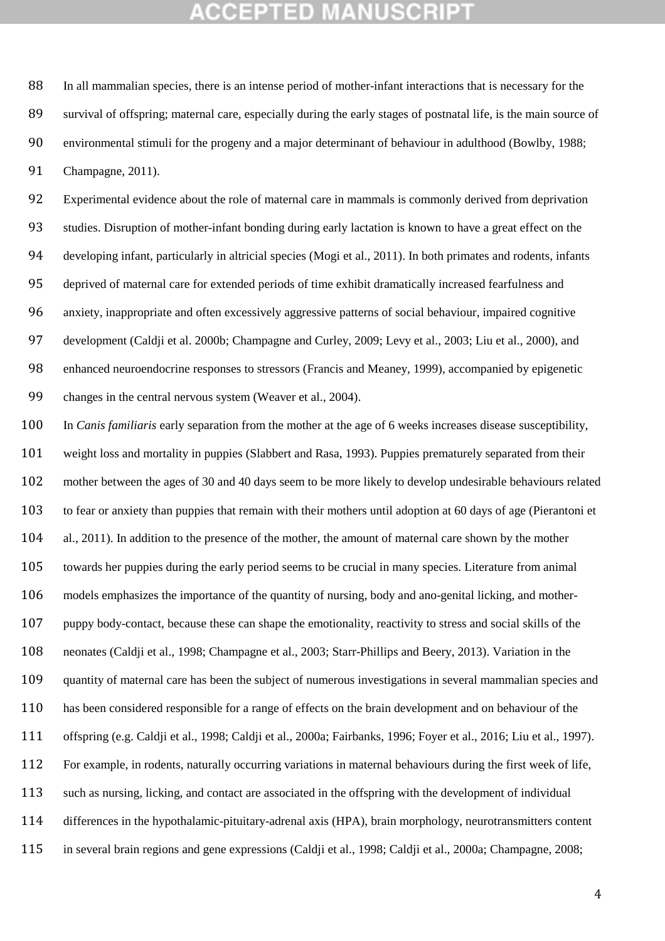In all mammalian species, there is an intense period of mother-infant interactions that is necessary for the survival of offspring; maternal care, especially during the early stages of postnatal life, is the main source of environmental stimuli for the progeny and a major determinant of behaviour in adulthood (Bowlby, 1988; Champagne, 2011).

 Experimental evidence about the role of maternal care in mammals is commonly derived from deprivation studies. Disruption of mother-infant bonding during early lactation is known to have a great effect on the developing infant, particularly in altricial species (Mogi et al., 2011). In both primates and rodents, infants deprived of maternal care for extended periods of time exhibit dramatically increased fearfulness and anxiety, inappropriate and often excessively aggressive patterns of social behaviour, impaired cognitive development (Caldji et al. 2000b; Champagne and Curley, 2009; Levy et al., 2003; Liu et al., 2000), and enhanced neuroendocrine responses to stressors (Francis and Meaney, 1999), accompanied by epigenetic 99 changes in the central nervous system (Weaver et al., 2004).

 In *Canis familiaris* early separation from the mother at the age of 6 weeks increases disease susceptibility, weight loss and mortality in puppies (Slabbert and Rasa, 1993). Puppies prematurely separated from their mother between the ages of 30 and 40 days seem to be more likely to develop undesirable behaviours related to fear or anxiety than puppies that remain with their mothers until adoption at 60 days of age (Pierantoni et al., 2011). In addition to the presence of the mother, the amount of maternal care shown by the mother towards her puppies during the early period seems to be crucial in many species. Literature from animal models emphasizes the importance of the quantity of nursing, body and ano-genital licking, and mother- puppy body-contact, because these can shape the emotionality, reactivity to stress and social skills of the neonates (Caldji et al., 1998; Champagne et al., 2003; Starr-Phillips and Beery, 2013). Variation in the quantity of maternal care has been the subject of numerous investigations in several mammalian species and has been considered responsible for a range of effects on the brain development and on behaviour of the offspring (e.g. Caldji et al., 1998; Caldji et al., 2000a; Fairbanks, 1996; Foyer et al., 2016; Liu et al., 1997). For example, in rodents, naturally occurring variations in maternal behaviours during the first week of life, such as nursing, licking, and contact are associated in the offspring with the development of individual differences in the hypothalamic-pituitary-adrenal axis (HPA), brain morphology, neurotransmitters content in several brain regions and gene expressions (Caldji et al., 1998; Caldji et al., 2000a; Champagne, 2008;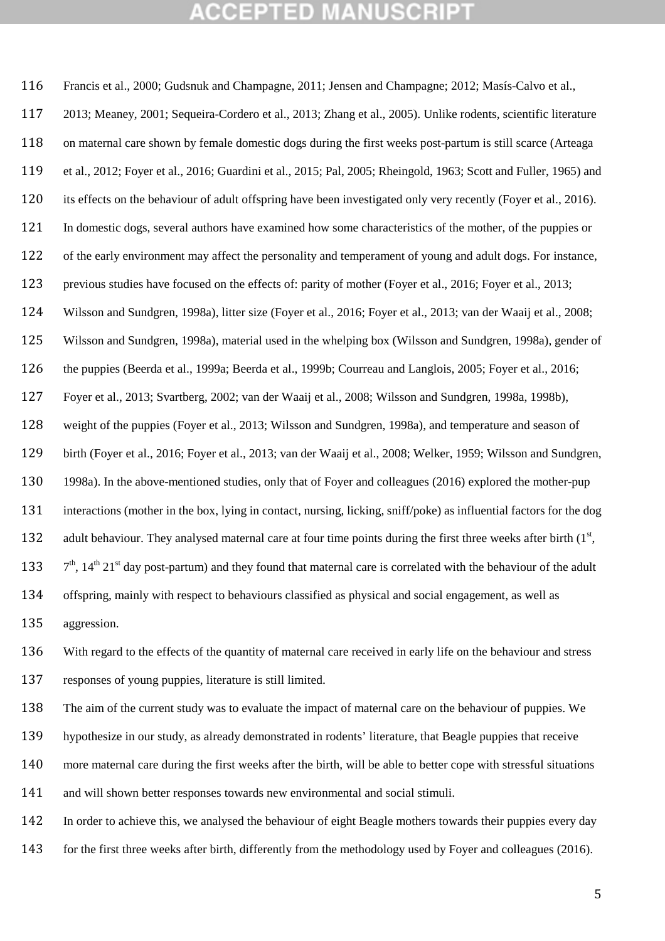## :CEPTED M

 Francis et al., 2000; Gudsnuk and Champagne, 2011; Jensen and Champagne; 2012; Masís-Calvo et al., 2013; Meaney, 2001; Sequeira-Cordero et al., 2013; Zhang et al., 2005). Unlike rodents, scientific literature on maternal care shown by female domestic dogs during the first weeks post-partum is still scarce (Arteaga et al., 2012; Foyer et al., 2016; Guardini et al., 2015; Pal, 2005; Rheingold, 1963; Scott and Fuller, 1965) and its effects on the behaviour of adult offspring have been investigated only very recently (Foyer et al., 2016). In domestic dogs, several authors have examined how some characteristics of the mother, of the puppies or of the early environment may affect the personality and temperament of young and adult dogs. For instance, previous studies have focused on the effects of: parity of mother (Foyer et al., 2016; Foyer et al., 2013; Wilsson and Sundgren, 1998a), litter size (Foyer et al., 2016; Foyer et al., 2013; van der Waaij et al., 2008; Wilsson and Sundgren, 1998a), material used in the whelping box (Wilsson and Sundgren, 1998a), gender of the puppies (Beerda et al., 1999a; Beerda et al., 1999b; Courreau and Langlois, 2005; Foyer et al., 2016; Foyer et al., 2013; Svartberg, 2002; van der Waaij et al., 2008; Wilsson and Sundgren, 1998a, 1998b), weight of the puppies (Foyer et al., 2013; Wilsson and Sundgren, 1998a), and temperature and season of birth (Foyer et al., 2016; Foyer et al., 2013; van der Waaij et al., 2008; Welker, 1959; Wilsson and Sundgren, 1998a). In the above-mentioned studies, only that of Foyer and colleagues (2016) explored the mother-pup interactions (mother in the box, lying in contact, nursing, licking, sniff/poke) as influential factors for the dog 132 adult behaviour. They analysed maternal care at four time points during the first three weeks after birth  $(1<sup>st</sup>,$  $7<sup>th</sup>$ ,  $14<sup>th</sup> 21<sup>st</sup>$  day post-partum) and they found that maternal care is correlated with the behaviour of the adult offspring, mainly with respect to behaviours classified as physical and social engagement, as well as aggression.

 With regard to the effects of the quantity of maternal care received in early life on the behaviour and stress responses of young puppies, literature is still limited.

The aim of the current study was to evaluate the impact of maternal care on the behaviour of puppies. We

hypothesize in our study, as already demonstrated in rodents' literature, that Beagle puppies that receive

more maternal care during the first weeks after the birth, will be able to better cope with stressful situations

and will shown better responses towards new environmental and social stimuli.

 In order to achieve this, we analysed the behaviour of eight Beagle mothers towards their puppies every day 143 for the first three weeks after birth, differently from the methodology used by Foyer and colleagues (2016).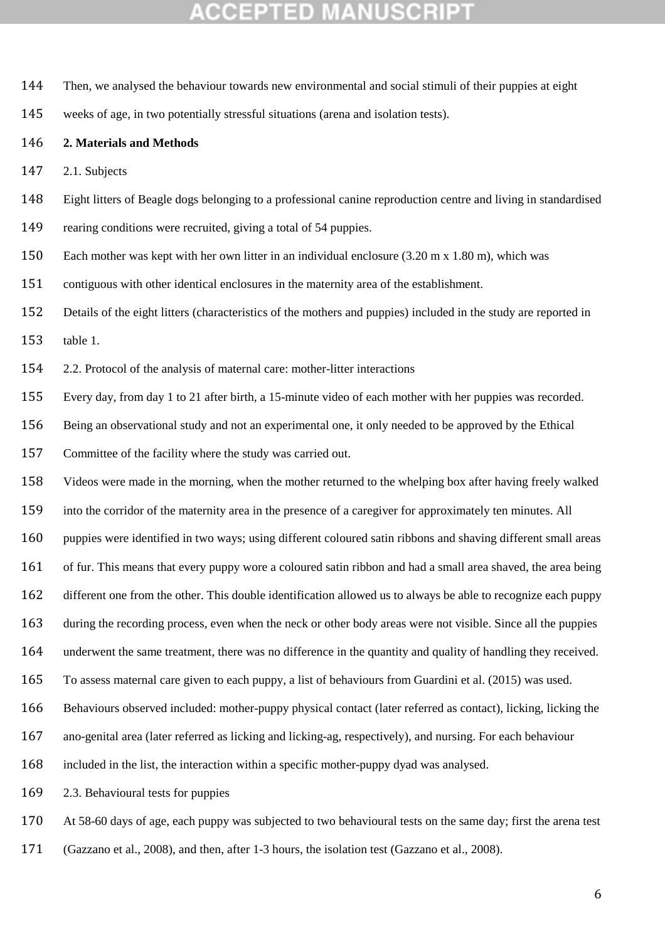## **CCEPTED MANUSCR**

- Then, we analysed the behaviour towards new environmental and social stimuli of their puppies at eight
- weeks of age, in two potentially stressful situations (arena and isolation tests).
- **2. Materials and Methods**
- 2.1. Subjects
- Eight litters of Beagle dogs belonging to a professional canine reproduction centre and living in standardised
- rearing conditions were recruited, giving a total of 54 puppies.
- Each mother was kept with her own litter in an individual enclosure (3.20 m x 1.80 m), which was
- contiguous with other identical enclosures in the maternity area of the establishment.
- Details of the eight litters (characteristics of the mothers and puppies) included in the study are reported in table 1.
- 
- 2.2. Protocol of the analysis of maternal care: mother-litter interactions
- Every day, from day 1 to 21 after birth, a 15-minute video of each mother with her puppies was recorded.
- Being an observational study and not an experimental one, it only needed to be approved by the Ethical
- Committee of the facility where the study was carried out.
- Videos were made in the morning, when the mother returned to the whelping box after having freely walked
- into the corridor of the maternity area in the presence of a caregiver for approximately ten minutes. All
- puppies were identified in two ways; using different coloured satin ribbons and shaving different small areas
- of fur. This means that every puppy wore a coloured satin ribbon and had a small area shaved, the area being
- different one from the other. This double identification allowed us to always be able to recognize each puppy
- 163 during the recording process, even when the neck or other body areas were not visible. Since all the puppies
- underwent the same treatment, there was no difference in the quantity and quality of handling they received.
- To assess maternal care given to each puppy, a list of behaviours from Guardini et al. (2015) was used.
- Behaviours observed included: mother-puppy physical contact (later referred as contact), licking, licking the
- ano-genital area (later referred as licking and licking-ag, respectively), and nursing. For each behaviour
- included in the list, the interaction within a specific mother-puppy dyad was analysed.
- 2.3. Behavioural tests for puppies
- At 58-60 days of age, each puppy was subjected to two behavioural tests on the same day; first the arena test
- (Gazzano et al., 2008), and then, after 1-3 hours, the isolation test (Gazzano et al., 2008).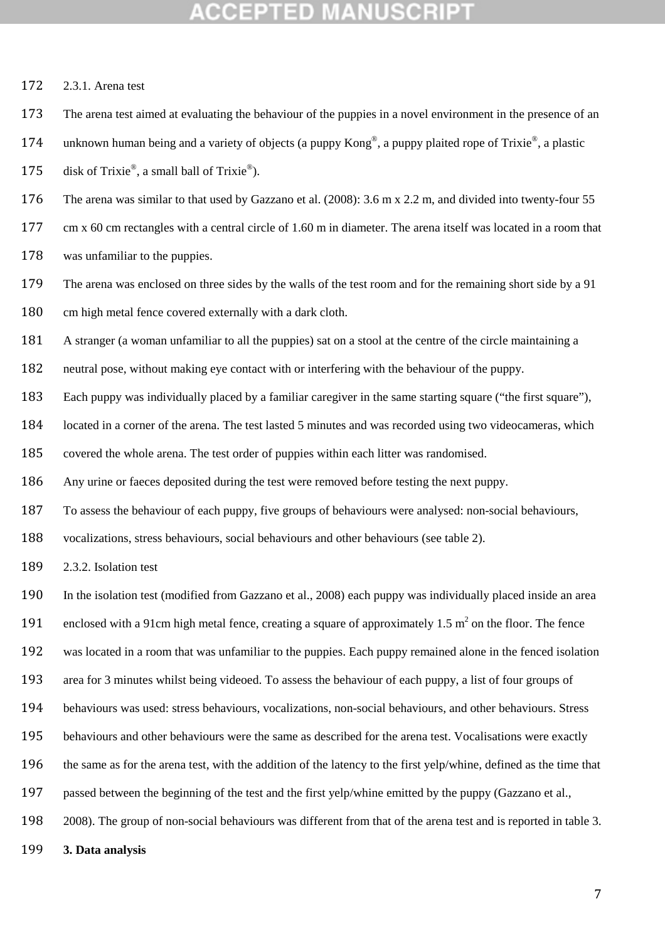- 2.3.1. Arena test
- The arena test aimed at evaluating the behaviour of the puppies in a novel environment in the presence of an
- 174 unknown human being and a variety of objects (a puppy Kong<sup>®</sup>, a puppy plaited rope of Trixie<sup>®</sup>, a plastic

175 disk of Trixie<sup>®</sup>, a small ball of Trixie<sup>®</sup>).

The arena was similar to that used by Gazzano et al. (2008): 3.6 m x 2.2 m, and divided into twenty-four 55

177 cm x 60 cm rectangles with a central circle of 1.60 m in diameter. The arena itself was located in a room that

was unfamiliar to the puppies.

- The arena was enclosed on three sides by the walls of the test room and for the remaining short side by a 91
- 180 cm high metal fence covered externally with a dark cloth.

A stranger (a woman unfamiliar to all the puppies) sat on a stool at the centre of the circle maintaining a

neutral pose, without making eye contact with or interfering with the behaviour of the puppy.

Each puppy was individually placed by a familiar caregiver in the same starting square ("the first square"),

located in a corner of the arena. The test lasted 5 minutes and was recorded using two videocameras, which

covered the whole arena. The test order of puppies within each litter was randomised.

Any urine or faeces deposited during the test were removed before testing the next puppy.

To assess the behaviour of each puppy, five groups of behaviours were analysed: non-social behaviours,

vocalizations, stress behaviours, social behaviours and other behaviours (see table 2).

2.3.2. Isolation test

In the isolation test (modified from Gazzano et al., 2008) each puppy was individually placed inside an area

191 enclosed with a 91cm high metal fence, creating a square of approximately 1.5  $m<sup>2</sup>$  on the floor. The fence

was located in a room that was unfamiliar to the puppies. Each puppy remained alone in the fenced isolation

area for 3 minutes whilst being videoed. To assess the behaviour of each puppy, a list of four groups of

behaviours was used: stress behaviours, vocalizations, non-social behaviours, and other behaviours. Stress

behaviours and other behaviours were the same as described for the arena test. Vocalisations were exactly

the same as for the arena test, with the addition of the latency to the first yelp/whine, defined as the time that

passed between the beginning of the test and the first yelp/whine emitted by the puppy (Gazzano et al.,

2008). The group of non-social behaviours was different from that of the arena test and is reported in table 3.

**3. Data analysis**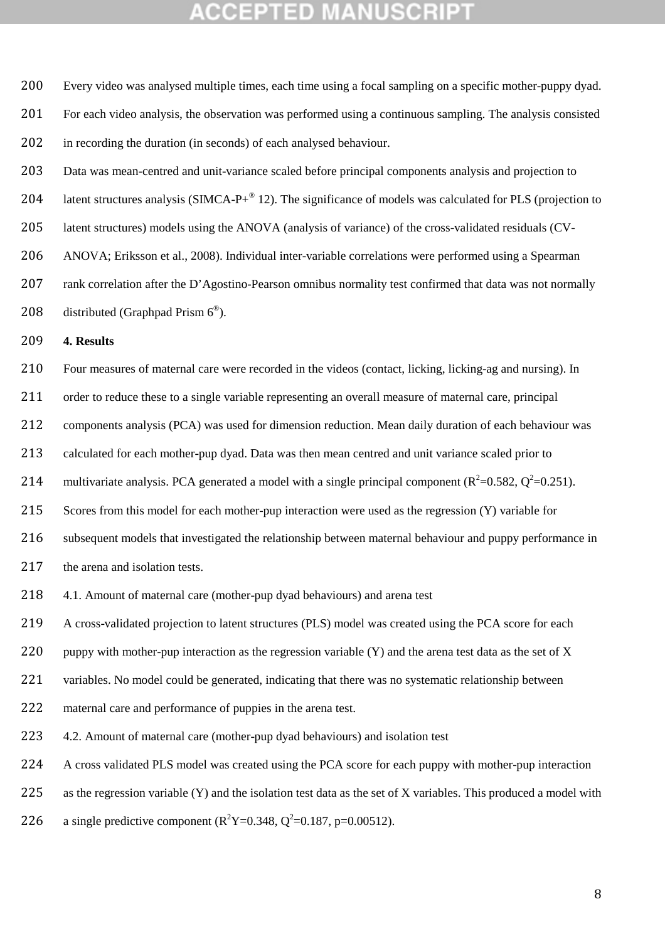## CCEPTED M

200 Every video was analysed multiple times, each time using a focal sampling on a specific mother-puppy dyad. 201 For each video analysis, the observation was performed using a continuous sampling. The analysis consisted 202 in recording the duration (in seconds) of each analysed behaviour.

203 Data was mean-centred and unit-variance scaled before principal components analysis and projection to

204 latent structures analysis (SIMCA-P+ $^{\circ}$  12). The significance of models was calculated for PLS (projection to

205 latent structures) models using the ANOVA (analysis of variance) of the cross-validated residuals (CV-

206 ANOVA; Eriksson et al., 2008). Individual inter-variable correlations were performed using a Spearman

207 rank correlation after the D'Agostino-Pearson omnibus normality test confirmed that data was not normally

208 distributed (Graphpad Prism  $6^{\circ}$ ).

### 209 **4. Results**

210 Four measures of maternal care were recorded in the videos (contact, licking, licking-ag and nursing). In

211 order to reduce these to a single variable representing an overall measure of maternal care, principal

212 components analysis (PCA) was used for dimension reduction. Mean daily duration of each behaviour was

213 calculated for each mother-pup dyad. Data was then mean centred and unit variance scaled prior to

214 multivariate analysis. PCA generated a model with a single principal component ( $R^2$ =0.582,  $Q^2$ =0.251).

215 Scores from this model for each mother-pup interaction were used as the regression (Y) variable for

216 subsequent models that investigated the relationship between maternal behaviour and puppy performance in

217 the arena and isolation tests.

218 4.1. Amount of maternal care (mother-pup dyad behaviours) and arena test

219 A cross-validated projection to latent structures (PLS) model was created using the PCA score for each

220 puppy with mother-pup interaction as the regression variable  $(Y)$  and the arena test data as the set of X

221 variables. No model could be generated, indicating that there was no systematic relationship between

222 maternal care and performance of puppies in the arena test.

223 4.2. Amount of maternal care (mother-pup dyad behaviours) and isolation test

224 A cross validated PLS model was created using the PCA score for each puppy with mother-pup interaction

225 as the regression variable  $(Y)$  and the isolation test data as the set of X variables. This produced a model with

226 a single predictive component ( $R^2Y=0.348$ ,  $Q^2=0.187$ , p=0.00512).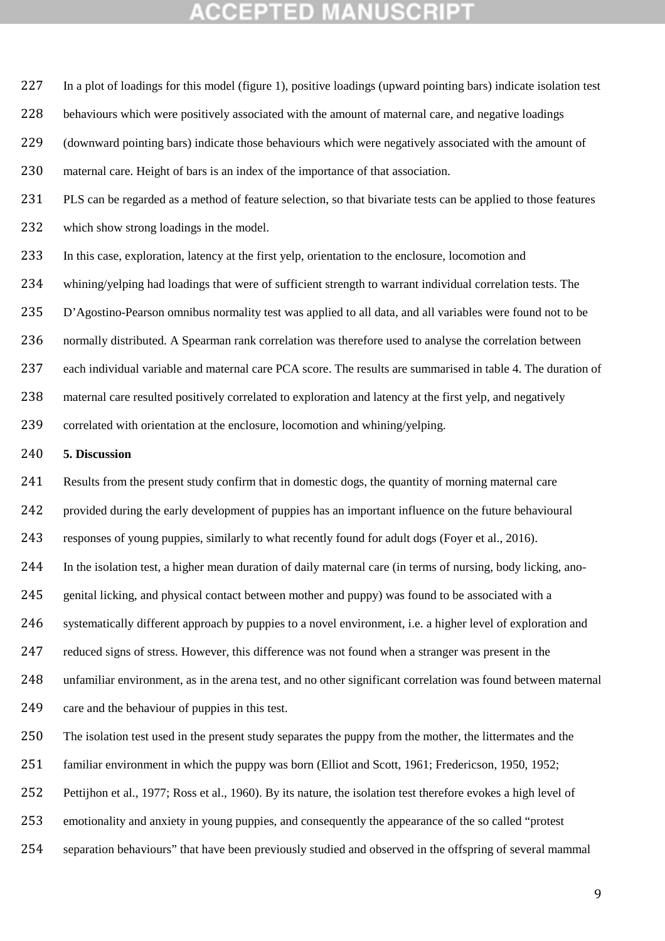## :CEPTED M

In a plot of loadings for this model (figure 1), positive loadings (upward pointing bars) indicate isolation test

behaviours which were positively associated with the amount of maternal care, and negative loadings

 (downward pointing bars) indicate those behaviours which were negatively associated with the amount of maternal care. Height of bars is an index of the importance of that association.

 PLS can be regarded as a method of feature selection, so that bivariate tests can be applied to those features 232 which show strong loadings in the model.

In this case, exploration, latency at the first yelp, orientation to the enclosure, locomotion and

whining/yelping had loadings that were of sufficient strength to warrant individual correlation tests. The

D'Agostino-Pearson omnibus normality test was applied to all data, and all variables were found not to be

normally distributed. A Spearman rank correlation was therefore used to analyse the correlation between

237 each individual variable and maternal care PCA score. The results are summarised in table 4. The duration of

maternal care resulted positively correlated to exploration and latency at the first yelp, and negatively

correlated with orientation at the enclosure, locomotion and whining/yelping.

### **5. Discussion**

Results from the present study confirm that in domestic dogs, the quantity of morning maternal care

provided during the early development of puppies has an important influence on the future behavioural

responses of young puppies, similarly to what recently found for adult dogs (Foyer et al., 2016).

In the isolation test, a higher mean duration of daily maternal care (in terms of nursing, body licking, ano-

genital licking, and physical contact between mother and puppy) was found to be associated with a

systematically different approach by puppies to a novel environment, i.e. a higher level of exploration and

reduced signs of stress. However, this difference was not found when a stranger was present in the

unfamiliar environment, as in the arena test, and no other significant correlation was found between maternal

care and the behaviour of puppies in this test.

250 The isolation test used in the present study separates the puppy from the mother, the littermates and the

familiar environment in which the puppy was born (Elliot and Scott, 1961; Fredericson, 1950, 1952;

Pettijhon et al., 1977; Ross et al., 1960). By its nature, the isolation test therefore evokes a high level of

emotionality and anxiety in young puppies, and consequently the appearance of the so called "protest

separation behaviours" that have been previously studied and observed in the offspring of several mammal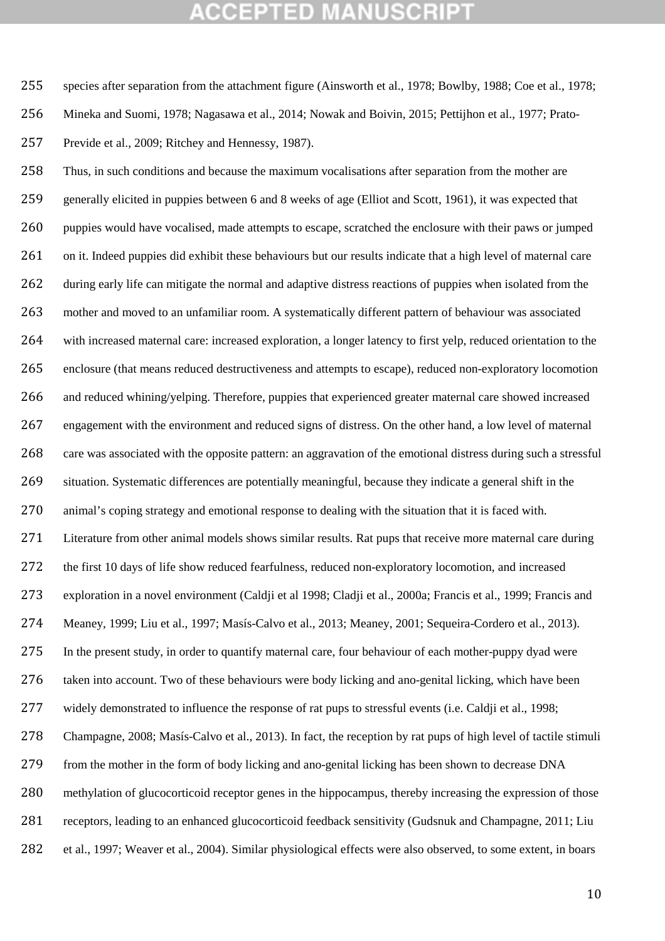## **CCEPTED MANUSCRIP**

 species after separation from the attachment figure (Ainsworth et al., 1978; Bowlby, 1988; Coe et al., 1978; Mineka and Suomi, 1978; Nagasawa et al., 2014; Nowak and Boivin, 2015; Pettijhon et al., 1977; Prato-Previde et al., 2009; Ritchey and Hennessy, 1987).

 Thus, in such conditions and because the maximum vocalisations after separation from the mother are generally elicited in puppies between 6 and 8 weeks of age (Elliot and Scott, 1961), it was expected that 260 puppies would have vocalised, made attempts to escape, scratched the enclosure with their paws or jumped 261 on it. Indeed puppies did exhibit these behaviours but our results indicate that a high level of maternal care 262 during early life can mitigate the normal and adaptive distress reactions of puppies when isolated from the mother and moved to an unfamiliar room. A systematically different pattern of behaviour was associated with increased maternal care: increased exploration, a longer latency to first yelp, reduced orientation to the enclosure (that means reduced destructiveness and attempts to escape), reduced non-exploratory locomotion and reduced whining/yelping. Therefore, puppies that experienced greater maternal care showed increased engagement with the environment and reduced signs of distress. On the other hand, a low level of maternal care was associated with the opposite pattern: an aggravation of the emotional distress during such a stressful situation. Systematic differences are potentially meaningful, because they indicate a general shift in the animal's coping strategy and emotional response to dealing with the situation that it is faced with. Literature from other animal models shows similar results. Rat pups that receive more maternal care during the first 10 days of life show reduced fearfulness, reduced non-exploratory locomotion, and increased exploration in a novel environment (Caldji et al 1998; Cladji et al., 2000a; Francis et al., 1999; Francis and Meaney, 1999; Liu et al., 1997; Masís-Calvo et al., 2013; Meaney, 2001; Sequeira-Cordero et al., 2013). In the present study, in order to quantify maternal care, four behaviour of each mother-puppy dyad were 276 taken into account. Two of these behaviours were body licking and ano-genital licking, which have been widely demonstrated to influence the response of rat pups to stressful events (i.e. Caldji et al., 1998; Champagne, 2008; Masís-Calvo et al., 2013). In fact, the reception by rat pups of high level of tactile stimuli 279 from the mother in the form of body licking and ano-genital licking has been shown to decrease DNA methylation of glucocorticoid receptor genes in the hippocampus, thereby increasing the expression of those receptors, leading to an enhanced glucocorticoid feedback sensitivity (Gudsnuk and Champagne, 2011; Liu et al., 1997; Weaver et al., 2004). Similar physiological effects were also observed, to some extent, in boars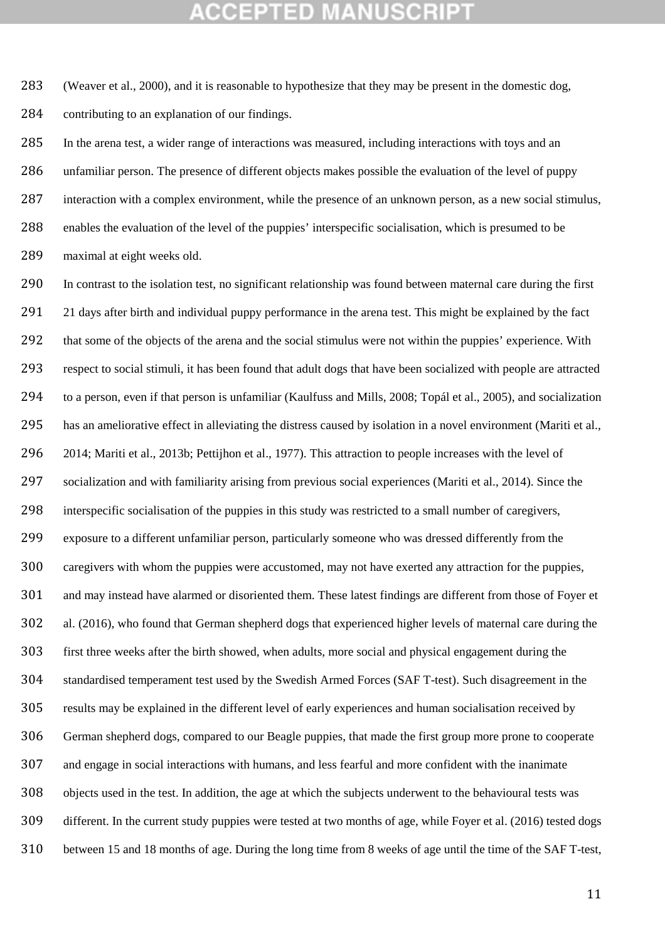## **CCEPTED MANUSCRI**

 (Weaver et al., 2000), and it is reasonable to hypothesize that they may be present in the domestic dog, contributing to an explanation of our findings.

285 In the arena test, a wider range of interactions was measured, including interactions with toys and an unfamiliar person. The presence of different objects makes possible the evaluation of the level of puppy interaction with a complex environment, while the presence of an unknown person, as a new social stimulus, enables the evaluation of the level of the puppies' interspecific socialisation, which is presumed to be maximal at eight weeks old.

 In contrast to the isolation test, no significant relationship was found between maternal care during the first 291 21 days after birth and individual puppy performance in the arena test. This might be explained by the fact that some of the objects of the arena and the social stimulus were not within the puppies' experience. With respect to social stimuli, it has been found that adult dogs that have been socialized with people are attracted to a person, even if that person is unfamiliar (Kaulfuss and Mills, 2008; Topál et al., 2005), and socialization has an ameliorative effect in alleviating the distress caused by isolation in a novel environment (Mariti et al., 2014; Mariti et al., 2013b; Pettijhon et al., 1977). This attraction to people increases with the level of socialization and with familiarity arising from previous social experiences (Mariti et al., 2014). Since the interspecific socialisation of the puppies in this study was restricted to a small number of caregivers, exposure to a different unfamiliar person, particularly someone who was dressed differently from the caregivers with whom the puppies were accustomed, may not have exerted any attraction for the puppies, and may instead have alarmed or disoriented them. These latest findings are different from those of Foyer et al. (2016), who found that German shepherd dogs that experienced higher levels of maternal care during the first three weeks after the birth showed, when adults, more social and physical engagement during the standardised temperament test used by the Swedish Armed Forces (SAF T-test). Such disagreement in the results may be explained in the different level of early experiences and human socialisation received by German shepherd dogs, compared to our Beagle puppies, that made the first group more prone to cooperate and engage in social interactions with humans, and less fearful and more confident with the inanimate objects used in the test. In addition, the age at which the subjects underwent to the behavioural tests was different. In the current study puppies were tested at two months of age, while Foyer et al. (2016) tested dogs between 15 and 18 months of age. During the long time from 8 weeks of age until the time of the SAF T-test,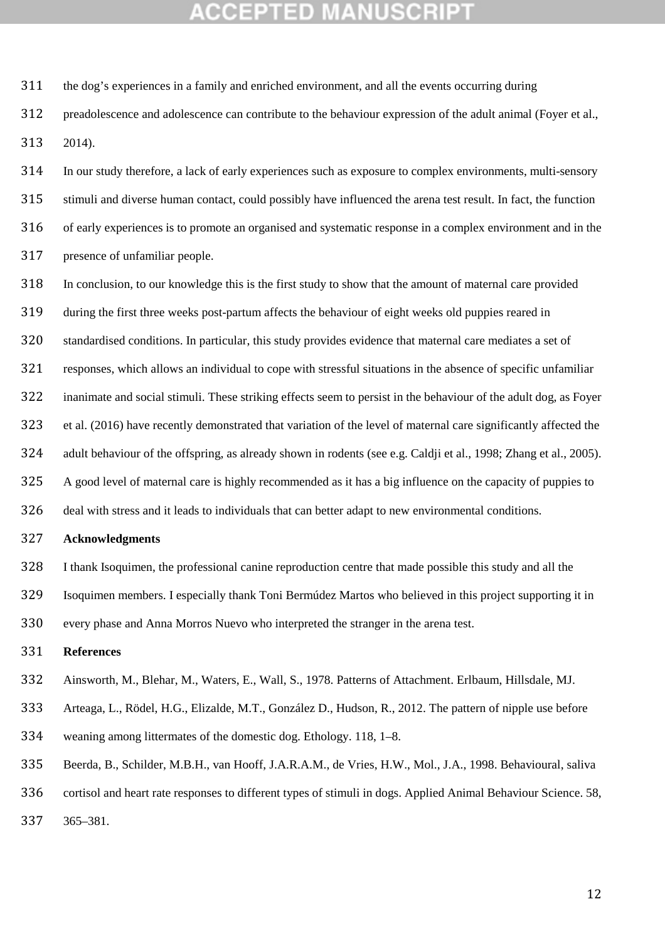the dog's experiences in a family and enriched environment, and all the events occurring during

 preadolescence and adolescence can contribute to the behaviour expression of the adult animal (Foyer et al., 2014).

 In our study therefore, a lack of early experiences such as exposure to complex environments, multi-sensory stimuli and diverse human contact, could possibly have influenced the arena test result. In fact, the function of early experiences is to promote an organised and systematic response in a complex environment and in the presence of unfamiliar people.

In conclusion, to our knowledge this is the first study to show that the amount of maternal care provided

during the first three weeks post-partum affects the behaviour of eight weeks old puppies reared in

standardised conditions. In particular, this study provides evidence that maternal care mediates a set of

responses, which allows an individual to cope with stressful situations in the absence of specific unfamiliar

inanimate and social stimuli. These striking effects seem to persist in the behaviour of the adult dog, as Foyer

et al. (2016) have recently demonstrated that variation of the level of maternal care significantly affected the

adult behaviour of the offspring, as already shown in rodents (see e.g. Caldji et al., 1998; Zhang et al., 2005).

A good level of maternal care is highly recommended as it has a big influence on the capacity of puppies to

deal with stress and it leads to individuals that can better adapt to new environmental conditions.

### **Acknowledgments**

 I thank Isoquimen, the professional canine reproduction centre that made possible this study and all the Isoquimen members. I especially thank Toni Bermúdez Martos who believed in this project supporting it in every phase and Anna Morros Nuevo who interpreted the stranger in the arena test.

- **References**
- Ainsworth, M., Blehar, M., Waters, E., Wall, S., 1978. Patterns of Attachment. Erlbaum, Hillsdale, MJ.

 Arteaga, L., Rödel, H.G., Elizalde, M.T., González D., Hudson, R., 2012. The pattern of nipple use before weaning among littermates of the domestic dog. Ethology. 118, 1–8.

- Beerda, B., Schilder, M.B.H., van Hooff, J.A.R.A.M., de Vries, H.W., Mol., J.A., 1998. Behavioural, saliva
- cortisol and heart rate responses to different types of stimuli in dogs. Applied Animal Behaviour Science. 58,
- 365–381.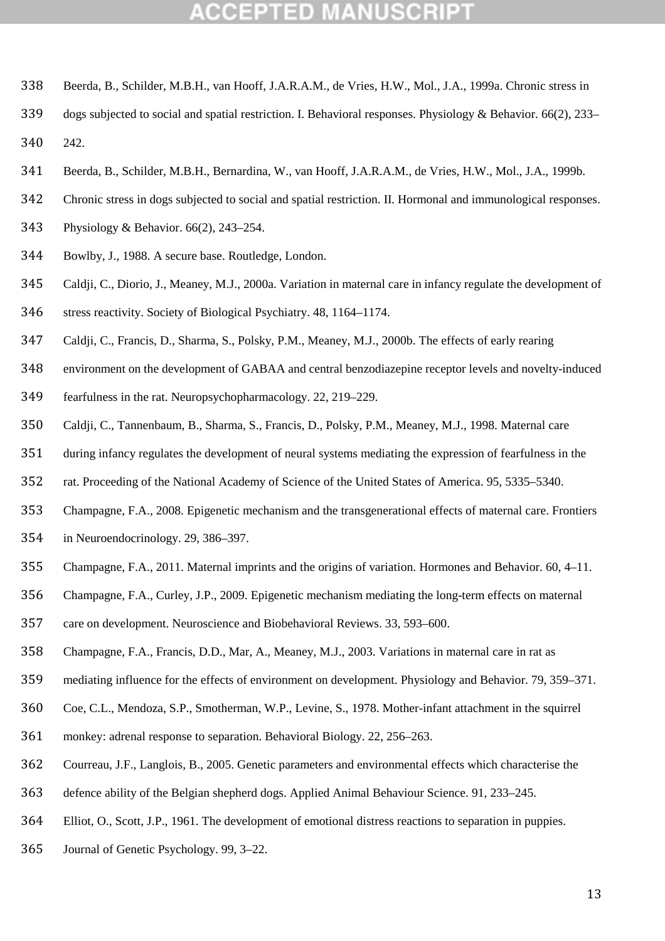- Beerda, B., Schilder, M.B.H., van Hooff, J.A.R.A.M., de Vries, H.W., Mol., J.A., 1999a. Chronic stress in
- 339 dogs subjected to social and spatial restriction. I. Behavioral responses. Physiology & Behavior. 66(2), 233– 242.
- Beerda, B., Schilder, M.B.H., Bernardina, W., van Hooff, J.A.R.A.M., de Vries, H.W., Mol., J.A., 1999b.
- Chronic stress in dogs subjected to social and spatial restriction. II. Hormonal and immunological responses.
- Physiology & Behavior. 66(2), 243–254.
- Bowlby, J., 1988. A secure base. Routledge, London.
- Caldji, C., Diorio, J., Meaney, M.J., 2000a. Variation in maternal care in infancy regulate the development of
- stress reactivity. Society of Biological Psychiatry. 48, 1164–1174.
- Caldji, C., Francis, D., Sharma, S., Polsky, P.M., Meaney, M.J., 2000b. The effects of early rearing
- environment on the development of GABAA and central benzodiazepine receptor levels and novelty-induced
- fearfulness in the rat. Neuropsychopharmacology. 22, 219–229.
- Caldji, C., Tannenbaum, B., Sharma, S., Francis, D., Polsky, P.M., Meaney, M.J., 1998. Maternal care
- during infancy regulates the development of neural systems mediating the expression of fearfulness in the
- rat. Proceeding of the National Academy of Science of the United States of America. 95, 5335–5340.
- Champagne, F.A., 2008. Epigenetic mechanism and the transgenerational effects of maternal care. Frontiers
- in Neuroendocrinology. 29, 386–397.
- Champagne, F.A., 2011. Maternal imprints and the origins of variation. Hormones and Behavior. 60, 4–11.
- Champagne, F.A., Curley, J.P., 2009. Epigenetic mechanism mediating the long-term effects on maternal
- care on development. Neuroscience and Biobehavioral Reviews. 33, 593–600.
- Champagne, F.A., Francis, D.D., Mar, A., Meaney, M.J., 2003. Variations in maternal care in rat as
- mediating influence for the effects of environment on development. Physiology and Behavior. 79, 359–371.
- Coe, C.L., Mendoza, S.P., Smotherman, W.P., Levine, S., 1978. Mother-infant attachment in the squirrel
- monkey: adrenal response to separation. Behavioral Biology. 22, 256–263.
- Courreau, J.F., Langlois, B., 2005. Genetic parameters and environmental effects which characterise the
- defence ability of the Belgian shepherd dogs. Applied Animal Behaviour Science. 91, 233–245.
- Elliot, O., Scott, J.P., 1961. The development of emotional distress reactions to separation in puppies.
- Journal of Genetic Psychology. 99, 3–22.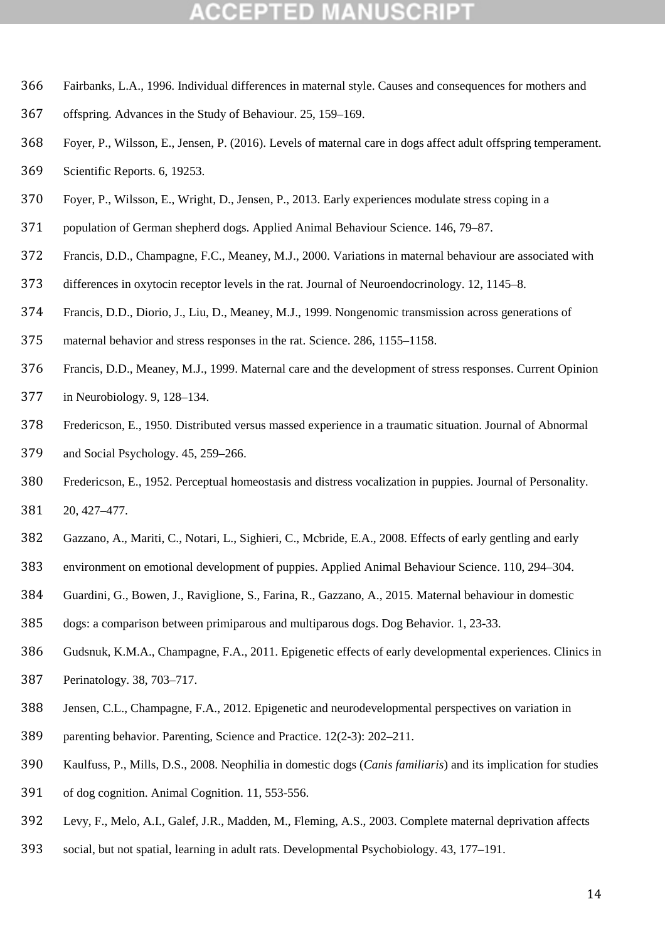- Fairbanks, L.A., 1996. Individual differences in maternal style. Causes and consequences for mothers and
- offspring. Advances in the Study of Behaviour. 25, 159–169.
- Foyer, P., Wilsson, E., Jensen, P. (2016). Levels of maternal care in dogs affect adult offspring temperament.
- Scientific Reports. 6, 19253.
- Foyer, P., Wilsson, E., Wright, D., Jensen, P., 2013. Early experiences modulate stress coping in a
- population of German shepherd dogs. Applied Animal Behaviour Science. 146, 79–87.
- Francis, D.D., Champagne, F.C., Meaney, M.J., 2000. Variations in maternal behaviour are associated with
- differences in oxytocin receptor levels in the rat. Journal of Neuroendocrinology. 12, 1145–8.
- Francis, D.D., Diorio, J., Liu, D., Meaney, M.J., 1999. Nongenomic transmission across generations of
- maternal behavior and stress responses in the rat. Science. 286, 1155–1158.
- Francis, D.D., Meaney, M.J., 1999. Maternal care and the development of stress responses. Current Opinion
- in Neurobiology. 9, 128–134.
- Fredericson, E., 1950. Distributed versus massed experience in a traumatic situation. Journal of Abnormal and Social Psychology. 45, 259–266.
- Fredericson, E., 1952. Perceptual homeostasis and distress vocalization in puppies. Journal of Personality. 20, 427–477.
- Gazzano, A., Mariti, C., Notari, L., Sighieri, C., Mcbride, E.A., 2008. Effects of early gentling and early
- environment on emotional development of puppies. Applied Animal Behaviour Science. 110, 294–304.
- Guardini, G., Bowen, J., Raviglione, S., Farina, R., Gazzano, A., 2015. Maternal behaviour in domestic
- dogs: a comparison between primiparous and multiparous dogs. Dog Behavior. 1, 23-33.
- Gudsnuk, K.M.A., Champagne, F.A., 2011. Epigenetic effects of early developmental experiences. Clinics in Perinatology. 38, 703–717.
- Jensen, C.L., Champagne, F.A., 2012. Epigenetic and neurodevelopmental perspectives on variation in
- parenting behavior. Parenting, Science and Practice. 12(2-3): 202–211.
- Kaulfuss, P., Mills, D.S., 2008. Neophilia in domestic dogs (*Canis familiaris*) and its implication for studies
- of dog cognition. Animal Cognition. 11, 553-556.
- Levy, F., Melo, A.I., Galef, J.R., Madden, M., Fleming, A.S., 2003. Complete maternal deprivation affects
- social, but not spatial, learning in adult rats. Developmental Psychobiology. 43, 177–191.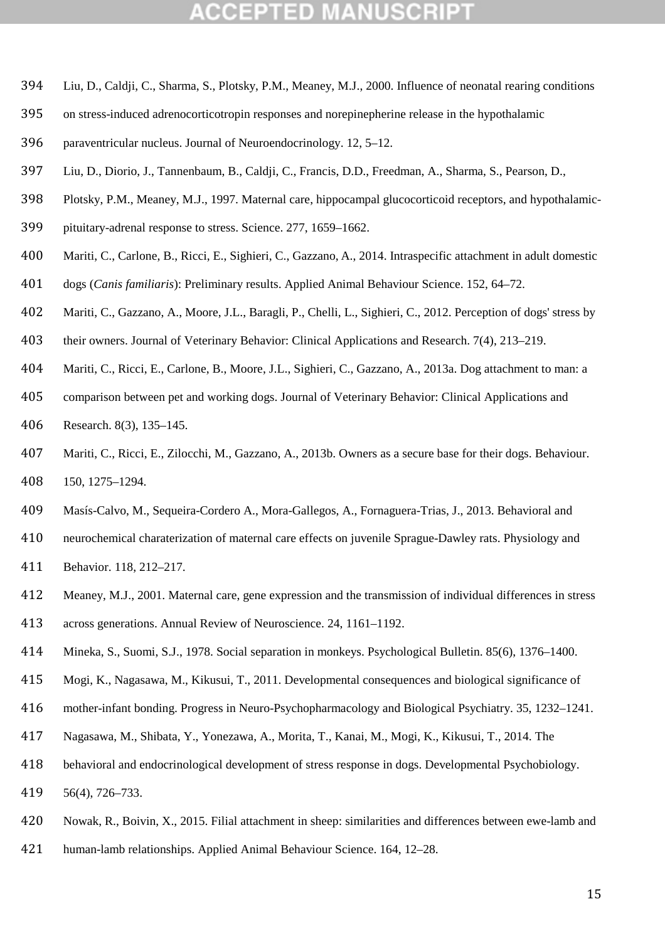- Liu, D., Caldji, C., Sharma, S., Plotsky, P.M., Meaney, M.J., 2000. Influence of neonatal rearing conditions
- on stress-induced adrenocorticotropin responses and norepinepherine release in the hypothalamic
- paraventricular nucleus. Journal of Neuroendocrinology. 12, 5–12.
- Liu, D., Diorio, J., Tannenbaum, B., Caldji, C., Francis, D.D., Freedman, A., Sharma, S., Pearson, D.,
- Plotsky, P.M., Meaney, M.J., 1997. Maternal care, hippocampal glucocorticoid receptors, and hypothalamic-
- pituitary-adrenal response to stress. Science. 277, 1659–1662.
- Mariti, C., Carlone, B., Ricci, E., Sighieri, C., Gazzano, A., 2014. Intraspecific attachment in adult domestic
- dogs (*Canis familiaris*): Preliminary results. Applied Animal Behaviour Science. 152, 64–72.
- Mariti, C., Gazzano, A., Moore, J.L., Baragli, P., Chelli, L., Sighieri, C., 2012. Perception of dogs' stress by
- their owners. Journal of Veterinary Behavior: Clinical Applications and Research. 7(4), 213–219.
- Mariti, C., Ricci, E., Carlone, B., Moore, J.L., Sighieri, C., Gazzano, A., 2013a. Dog attachment to man: a
- comparison between pet and working dogs. Journal of Veterinary Behavior: Clinical Applications and
- Research. 8(3), 135–145.
- Mariti, C., Ricci, E., Zilocchi, M., Gazzano, A., 2013b. Owners as a secure base for their dogs. Behaviour. 150, 1275–1294.
- Masís-Calvo, M., Sequeira-Cordero A., Mora-Gallegos, A., Fornaguera-Trias, J., 2013. Behavioral and
- neurochemical charaterization of maternal care effects on juvenile Sprague-Dawley rats. Physiology and
- Behavior. 118, 212–217.
- Meaney, M.J., 2001. Maternal care, gene expression and the transmission of individual differences in stress across generations. Annual Review of Neuroscience. 24, 1161–1192.
- Mineka, S., Suomi, S.J., 1978. Social separation in monkeys. Psychological Bulletin. 85(6), 1376–1400.
- Mogi, K., Nagasawa, M., Kikusui, T., 2011. Developmental consequences and biological significance of
- mother-infant bonding. Progress in Neuro-Psychopharmacology and Biological Psychiatry. 35, 1232–1241.
- Nagasawa, M., Shibata, Y., Yonezawa, A., Morita, T., Kanai, M., Mogi, K., Kikusui, T., 2014. The
- behavioral and endocrinological development of stress response in dogs. Developmental Psychobiology.
- 56(4), 726–733.
- Nowak, R., Boivin, X., 2015. Filial attachment in sheep: similarities and differences between ewe-lamb and
- human-lamb relationships. Applied Animal Behaviour Science. 164, 12–28.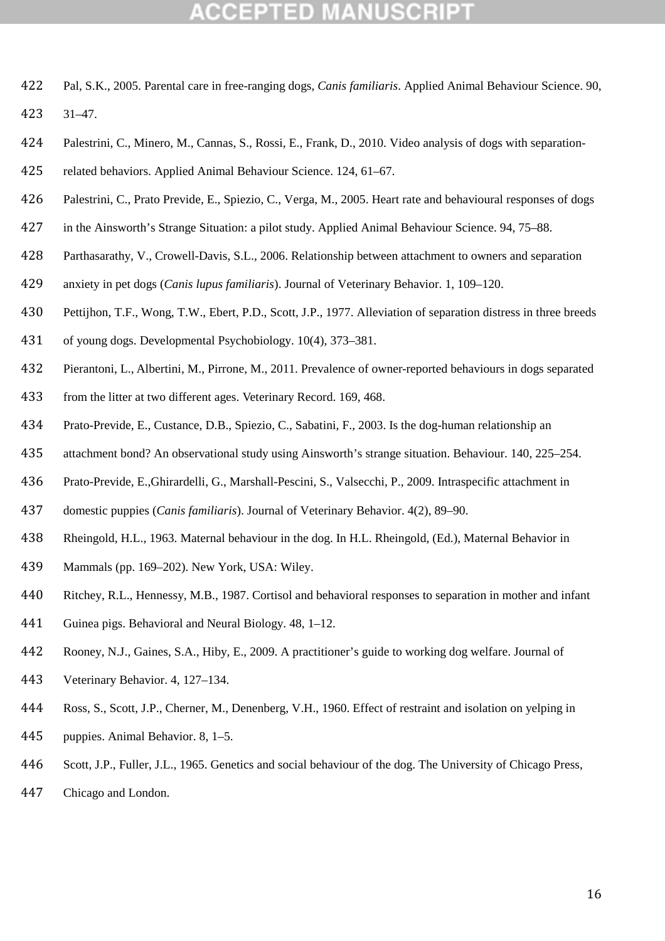- Pal, S.K., 2005. Parental care in free-ranging dogs, *Canis familiaris*. Applied Animal Behaviour Science. 90, 31–47.
- Palestrini, C., Minero, M., Cannas, S., Rossi, E., Frank, D., 2010. Video analysis of dogs with separation-
- related behaviors. Applied Animal Behaviour Science. 124, 61–67.
- Palestrini, C., Prato Previde, E., Spiezio, C., Verga, M., 2005. Heart rate and behavioural responses of dogs
- in the Ainsworth's Strange Situation: a pilot study. Applied Animal Behaviour Science. 94, 75–88.
- Parthasarathy, V., Crowell-Davis, S.L., 2006. Relationship between attachment to owners and separation
- anxiety in pet dogs (*Canis lupus familiaris*). Journal of Veterinary Behavior. 1, 109–120.
- Pettijhon, T.F., Wong, T.W., Ebert, P.D., Scott, J.P., 1977. Alleviation of separation distress in three breeds
- of young dogs. Developmental Psychobiology. 10(4), 373–381.
- Pierantoni, L., Albertini, M., Pirrone, M., 2011. Prevalence of owner-reported behaviours in dogs separated
- from the litter at two different ages. Veterinary Record. 169, 468.
- Prato-Previde, E., Custance, D.B., Spiezio, C., Sabatini, F., 2003. Is the dog-human relationship an
- attachment bond? An observational study using Ainsworth's strange situation. Behaviour. 140, 225–254.
- Prato-Previde, E.,Ghirardelli, G., Marshall-Pescini, S., Valsecchi, P., 2009. Intraspecific attachment in
- domestic puppies (*Canis familiaris*). Journal of Veterinary Behavior. 4(2), 89–90.
- Rheingold, H.L., 1963. Maternal behaviour in the dog. In H.L. Rheingold, (Ed.), Maternal Behavior in
- Mammals (pp. 169–202). New York, USA: Wiley.
- Ritchey, R.L., Hennessy, M.B., 1987. Cortisol and behavioral responses to separation in mother and infant
- Guinea pigs. Behavioral and Neural Biology. 48, 1–12.
- Rooney, N.J., Gaines, S.A., Hiby, E., 2009. A practitioner's guide to working dog welfare. Journal of
- Veterinary Behavior. 4, 127–134.
- Ross, S., Scott, J.P., Cherner, M., Denenberg, V.H., 1960. Effect of restraint and isolation on yelping in
- puppies. Animal Behavior. 8, 1–5.
- Scott, J.P., Fuller, J.L., 1965. Genetics and social behaviour of the dog. The University of Chicago Press,
- Chicago and London.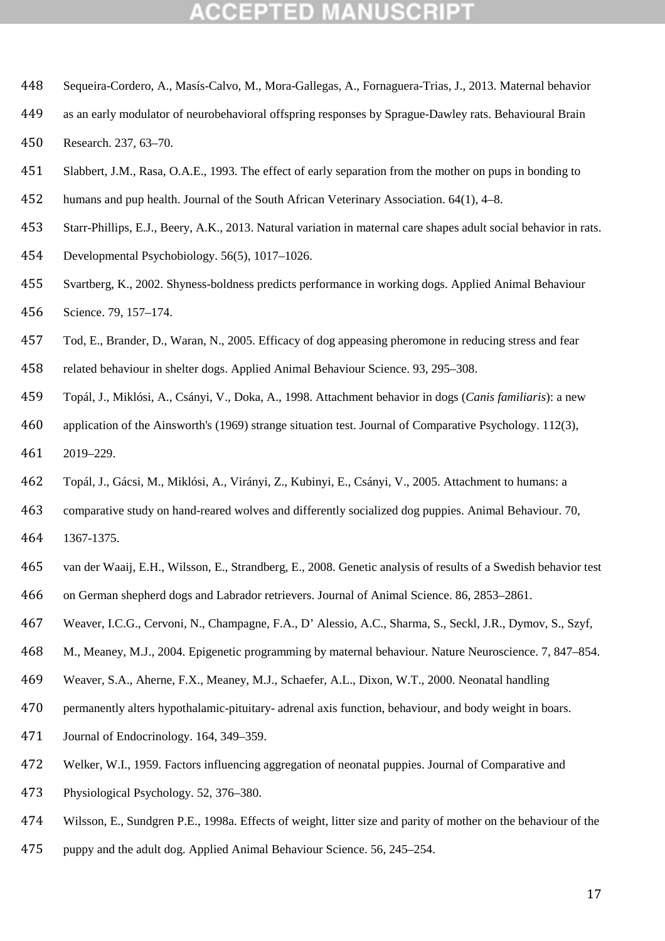- Sequeira-Cordero, A., Masís-Calvo, M., Mora-Gallegas, A., Fornaguera-Trias, J., 2013. Maternal behavior
- as an early modulator of neurobehavioral offspring responses by Sprague-Dawley rats. Behavioural Brain
- Research. 237, 63–70.
- Slabbert, J.M., Rasa, O.A.E., 1993. The effect of early separation from the mother on pups in bonding to
- humans and pup health. Journal of the South African Veterinary Association. 64(1), 4–8.
- Starr-Phillips, E.J., Beery, A.K., 2013. Natural variation in maternal care shapes adult social behavior in rats.
- Developmental Psychobiology. 56(5), 1017–1026.
- Svartberg, K., 2002. Shyness-boldness predicts performance in working dogs. Applied Animal Behaviour Science. 79, 157–174.
- Tod, E., Brander, D., Waran, N., 2005. Efficacy of dog appeasing pheromone in reducing stress and fear related behaviour in shelter dogs. Applied Animal Behaviour Science. 93, 295–308.
- Topál, J., Miklósi, A., Csányi, V., Doka, A., 1998. Attachment behavior in dogs (*Canis familiaris*): a new
- application of the Ainsworth's (1969) strange situation test. Journal of Comparative Psychology. 112(3), 2019–229.
- Topál, J., Gácsi, M., Miklósi, A., Virányi, Z., Kubinyi, E., Csányi, V., 2005. Attachment to humans: a
- comparative study on hand-reared wolves and differently socialized dog puppies. Animal Behaviour. 70,
- 1367-1375.
- van der Waaij, E.H., Wilsson, E., Strandberg, E., 2008. Genetic analysis of results of a Swedish behavior test on German shepherd dogs and Labrador retrievers. Journal of Animal Science. 86, 2853–2861.
- Weaver, I.C.G., Cervoni, N., Champagne, F.A., D' Alessio, A.C., Sharma, S., Seckl, J.R., Dymov, S., Szyf,
- M., Meaney, M.J., 2004. Epigenetic programming by maternal behaviour. Nature Neuroscience. 7, 847–854.
- Weaver, S.A., Aherne, F.X., Meaney, M.J., Schaefer, A.L., Dixon, W.T., 2000. Neonatal handling
- permanently alters hypothalamic-pituitary- adrenal axis function, behaviour, and body weight in boars.
- Journal of Endocrinology. 164, 349–359.
- Welker, W.I., 1959. Factors influencing aggregation of neonatal puppies. Journal of Comparative and
- Physiological Psychology. 52, 376–380.
- Wilsson, E., Sundgren P.E., 1998a. Effects of weight, litter size and parity of mother on the behaviour of the
- puppy and the adult dog. Applied Animal Behaviour Science. 56, 245–254.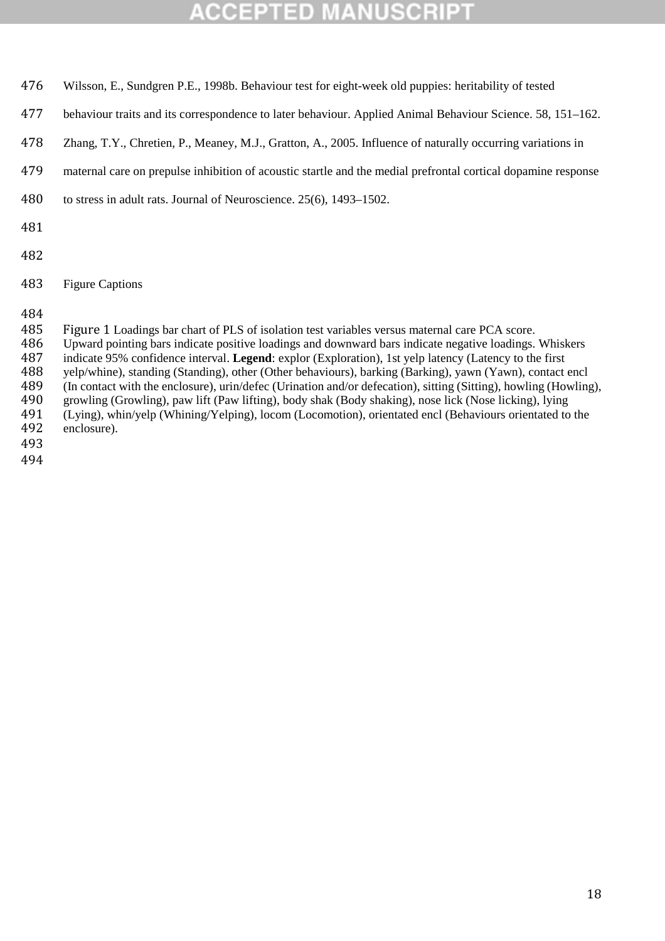# ا ا

- Wilsson, E., Sundgren P.E., 1998b. Behaviour test for eight-week old puppies: heritability of tested
- behaviour traits and its correspondence to later behaviour. Applied Animal Behaviour Science. 58, 151–162.
- Zhang, T.Y., Chretien, P., Meaney, M.J., Gratton, A., 2005. Influence of naturally occurring variations in
- maternal care on prepulse inhibition of acoustic startle and the medial prefrontal cortical dopamine response
- 480 to stress in adult rats. Journal of Neuroscience. 25(6), 1493–1502.
- 
- 
- Figure Captions

- 485 Figure 1 Loadings bar chart of PLS of isolation test variables versus maternal care PCA score.<br>486 Upward pointing bars indicate positive loadings and downward bars indicate negative loadings.
- Upward pointing bars indicate positive loadings and downward bars indicate negative loadings. Whiskers
- indicate 95% confidence interval. **Legend**: explor (Exploration), 1st yelp latency (Latency to the first
- yelp/whine), standing (Standing), other (Other behaviours), barking (Barking), yawn (Yawn), contact encl
- 489 (In contact with the enclosure), urin/defec (Urination and/or defecation), sitting (Sitting), howling (Howling), 490 growling (Growling), paw lift (Paw lifting), body shake (Body shaking), nose lick (Nose licking), lyi
- 490 growling (Growling), paw lift (Paw lifting), body shak (Body shaking), nose lick (Nose licking), lying 491 (Lying), whin/velp (Whining/Yelping), locom (Locomotion), orientated encl (Behaviours orientated to
- (Lying), whin/yelp (Whining/Yelping), locom (Locomotion), orientated encl (Behaviours orientated to the enclosure).
- 
-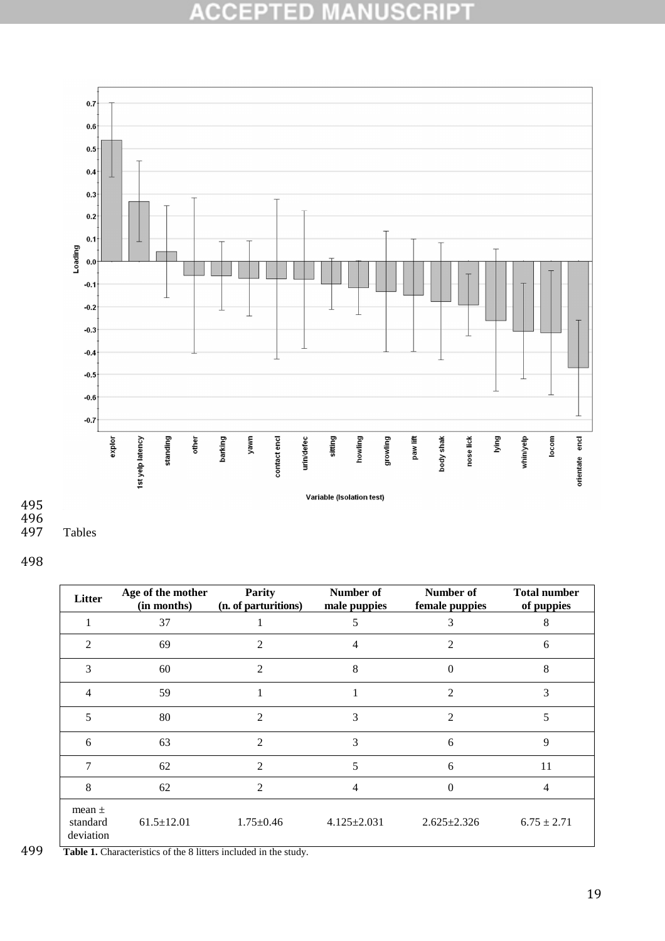### **ACCEPTED NUSCRIPT** N U,



495

496

497 Tables

498

| Litter                              | Age of the mother<br>(in months) | <b>Parity</b><br>(n. of parturitions) | Number of<br>male puppies | Number of<br>female puppies | <b>Total number</b><br>of puppies |
|-------------------------------------|----------------------------------|---------------------------------------|---------------------------|-----------------------------|-----------------------------------|
|                                     | 37                               |                                       |                           | 3                           | 8                                 |
| 2                                   | 69                               | 2                                     | 4                         | $\overline{2}$              | 6                                 |
| 3                                   | 60                               | $\overline{2}$                        | 8                         | $\theta$                    | 8                                 |
| 4                                   | 59                               |                                       |                           | $\mathfrak{D}$              | 3                                 |
| 5                                   | 80                               | $\overline{c}$                        | 3                         | 2                           | 5                                 |
| 6                                   | 63                               | $\mathfrak{D}$                        | 3                         | 6                           | 9                                 |
|                                     | 62                               | 2                                     | 5                         | 6                           | 11                                |
| 8                                   | 62                               | 2                                     | 4                         | $\Omega$                    | 4                                 |
| mean $\pm$<br>standard<br>deviation | $61.5 \pm 12.01$                 | $1.75 \pm 0.46$                       | $4.125 \pm 2.031$         | $2.625 \pm 2.326$           | $6.75 \pm 2.71$                   |

499 **Table 1.** Characteristics of the 8 litters included in the study.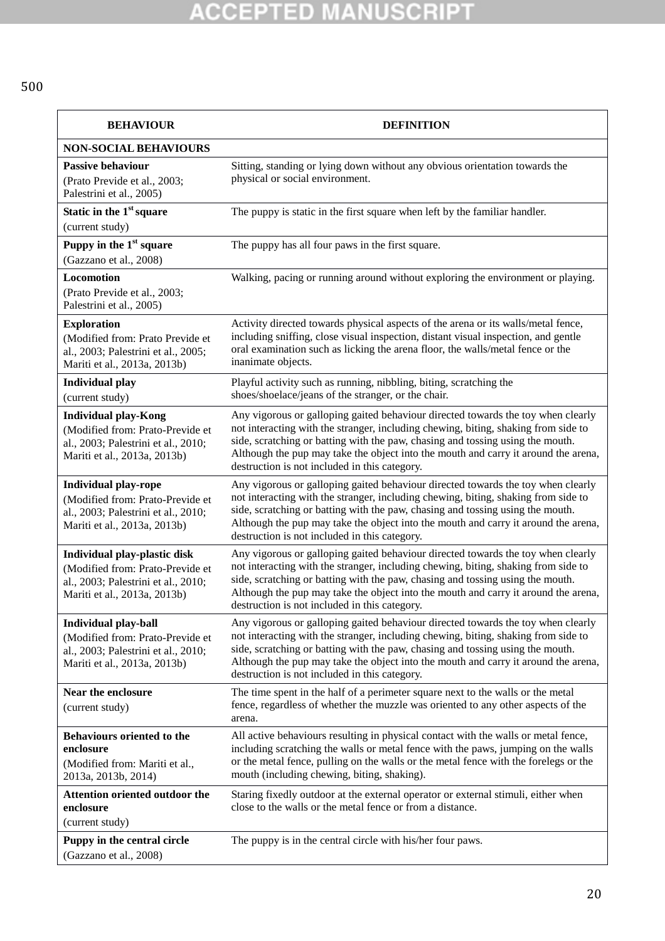| <b>BEHAVIOUR</b>                                                                                                                        | <b>DEFINITION</b>                                                                                                                                                                                                                                                                                                                                                                               |  |  |
|-----------------------------------------------------------------------------------------------------------------------------------------|-------------------------------------------------------------------------------------------------------------------------------------------------------------------------------------------------------------------------------------------------------------------------------------------------------------------------------------------------------------------------------------------------|--|--|
| <b>NON-SOCIAL BEHAVIOURS</b>                                                                                                            |                                                                                                                                                                                                                                                                                                                                                                                                 |  |  |
| <b>Passive behaviour</b><br>(Prato Previde et al., 2003;<br>Palestrini et al., 2005)                                                    | Sitting, standing or lying down without any obvious orientation towards the<br>physical or social environment.                                                                                                                                                                                                                                                                                  |  |  |
| Static in the $1st$ square<br>(current study)                                                                                           | The puppy is static in the first square when left by the familiar handler.                                                                                                                                                                                                                                                                                                                      |  |  |
| Puppy in the $1st$ square<br>(Gazzano et al., 2008)                                                                                     | The puppy has all four paws in the first square.                                                                                                                                                                                                                                                                                                                                                |  |  |
| Locomotion<br>(Prato Previde et al., 2003;<br>Palestrini et al., 2005)                                                                  | Walking, pacing or running around without exploring the environment or playing.                                                                                                                                                                                                                                                                                                                 |  |  |
| <b>Exploration</b><br>(Modified from: Prato Previde et<br>al., 2003; Palestrini et al., 2005;<br>Mariti et al., 2013a, 2013b)           | Activity directed towards physical aspects of the arena or its walls/metal fence,<br>including sniffing, close visual inspection, distant visual inspection, and gentle<br>oral examination such as licking the arena floor, the walls/metal fence or the<br>inanimate objects.                                                                                                                 |  |  |
| <b>Individual play</b><br>(current study)                                                                                               | Playful activity such as running, nibbling, biting, scratching the<br>shoes/shoelace/jeans of the stranger, or the chair.                                                                                                                                                                                                                                                                       |  |  |
| <b>Individual play-Kong</b><br>(Modified from: Prato-Previde et<br>al., 2003; Palestrini et al., 2010;<br>Mariti et al., 2013a, 2013b)  | Any vigorous or galloping gaited behaviour directed towards the toy when clearly<br>not interacting with the stranger, including chewing, biting, shaking from side to<br>side, scratching or batting with the paw, chasing and tossing using the mouth.<br>Although the pup may take the object into the mouth and carry it around the arena,<br>destruction is not included in this category. |  |  |
| <b>Individual play-rope</b><br>(Modified from: Prato-Previde et<br>al., 2003; Palestrini et al., 2010;<br>Mariti et al., 2013a, 2013b)  | Any vigorous or galloping gaited behaviour directed towards the toy when clearly<br>not interacting with the stranger, including chewing, biting, shaking from side to<br>side, scratching or batting with the paw, chasing and tossing using the mouth.<br>Although the pup may take the object into the mouth and carry it around the arena,<br>destruction is not included in this category. |  |  |
| Individual play-plastic disk<br>(Modified from: Prato-Previde et<br>al., 2003; Palestrini et al., 2010;<br>Mariti et al., 2013a, 2013b) | Any vigorous or galloping gaited behaviour directed towards the toy when clearly<br>not interacting with the stranger, including chewing, biting, shaking from side to<br>side, scratching or batting with the paw, chasing and tossing using the mouth.<br>Although the pup may take the object into the mouth and carry it around the arena,<br>destruction is not included in this category. |  |  |
| <b>Individual play-ball</b><br>(Modified from: Prato-Previde et<br>al., 2003; Palestrini et al., 2010;<br>Mariti et al., 2013a, 2013b)  | Any vigorous or galloping gaited behaviour directed towards the toy when clearly<br>not interacting with the stranger, including chewing, biting, shaking from side to<br>side, scratching or batting with the paw, chasing and tossing using the mouth.<br>Although the pup may take the object into the mouth and carry it around the arena,<br>destruction is not included in this category. |  |  |
| Near the enclosure<br>(current study)                                                                                                   | The time spent in the half of a perimeter square next to the walls or the metal<br>fence, regardless of whether the muzzle was oriented to any other aspects of the<br>arena.                                                                                                                                                                                                                   |  |  |
| <b>Behaviours oriented to the</b><br>enclosure<br>(Modified from: Mariti et al.,<br>2013a, 2013b, 2014)                                 | All active behaviours resulting in physical contact with the walls or metal fence,<br>including scratching the walls or metal fence with the paws, jumping on the walls<br>or the metal fence, pulling on the walls or the metal fence with the forelegs or the<br>mouth (including chewing, biting, shaking).                                                                                  |  |  |
| Attention oriented outdoor the<br>enclosure<br>(current study)                                                                          | Staring fixedly outdoor at the external operator or external stimuli, either when<br>close to the walls or the metal fence or from a distance.                                                                                                                                                                                                                                                  |  |  |
| Puppy in the central circle<br>(Gazzano et al., 2008)                                                                                   | The puppy is in the central circle with his/her four paws.                                                                                                                                                                                                                                                                                                                                      |  |  |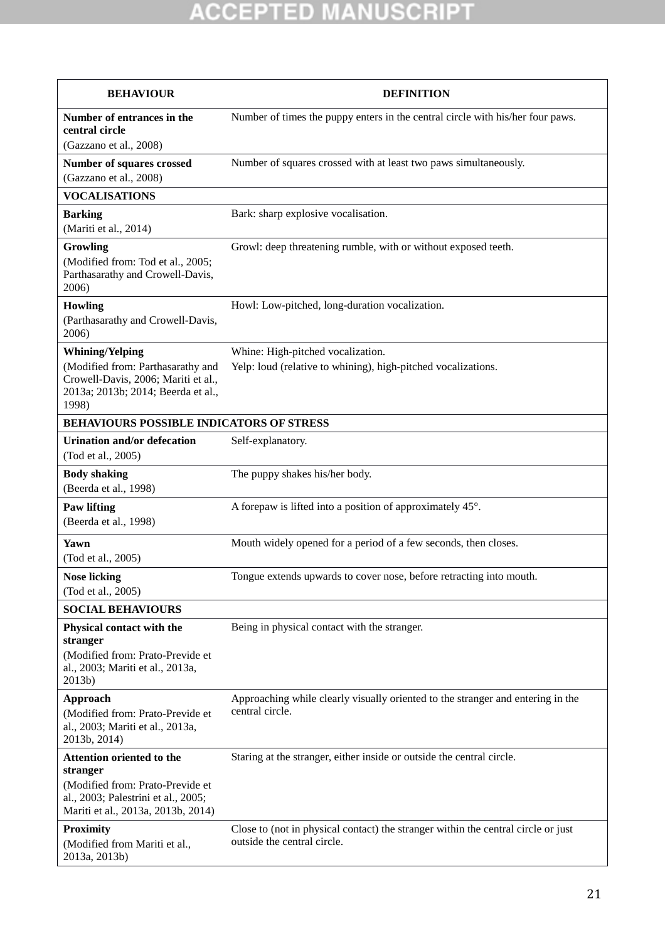# **ACCEPTED MANUSCRIPT**

| <b>BEHAVIOUR</b>                                                                                                        | <b>DEFINITION</b>                                                                 |  |  |
|-------------------------------------------------------------------------------------------------------------------------|-----------------------------------------------------------------------------------|--|--|
| Number of entrances in the<br>central circle                                                                            | Number of times the puppy enters in the central circle with his/her four paws.    |  |  |
| (Gazzano et al., 2008)<br><b>Number of squares crossed</b>                                                              | Number of squares crossed with at least two paws simultaneously.                  |  |  |
| (Gazzano et al., 2008)                                                                                                  |                                                                                   |  |  |
| <b>VOCALISATIONS</b>                                                                                                    |                                                                                   |  |  |
| <b>Barking</b>                                                                                                          | Bark: sharp explosive vocalisation.                                               |  |  |
| (Mariti et al., 2014)                                                                                                   |                                                                                   |  |  |
| Growling                                                                                                                | Growl: deep threatening rumble, with or without exposed teeth.                    |  |  |
| (Modified from: Tod et al., 2005;<br>Parthasarathy and Crowell-Davis,<br>2006)                                          |                                                                                   |  |  |
| <b>Howling</b>                                                                                                          | Howl: Low-pitched, long-duration vocalization.                                    |  |  |
| (Parthasarathy and Crowell-Davis,<br>2006)                                                                              |                                                                                   |  |  |
| <b>Whining/Yelping</b>                                                                                                  | Whine: High-pitched vocalization.                                                 |  |  |
| (Modified from: Parthasarathy and<br>Crowell-Davis, 2006; Mariti et al.,<br>2013a; 2013b; 2014; Beerda et al.,<br>1998) | Yelp: loud (relative to whining), high-pitched vocalizations.                     |  |  |
| <b>BEHAVIOURS POSSIBLE INDICATORS OF STRESS</b>                                                                         |                                                                                   |  |  |
| <b>Urination and/or defecation</b>                                                                                      | Self-explanatory.                                                                 |  |  |
| (Tod et al., 2005)                                                                                                      |                                                                                   |  |  |
| <b>Body shaking</b>                                                                                                     | The puppy shakes his/her body.                                                    |  |  |
| (Beerda et al., 1998)                                                                                                   |                                                                                   |  |  |
| <b>Paw lifting</b>                                                                                                      | A forepaw is lifted into a position of approximately 45°.                         |  |  |
| (Beerda et al., 1998)                                                                                                   |                                                                                   |  |  |
| Yawn                                                                                                                    | Mouth widely opened for a period of a few seconds, then closes.                   |  |  |
| (Tod et al., 2005)                                                                                                      |                                                                                   |  |  |
| <b>Nose licking</b><br>(Tod et al., 2005)                                                                               | Tongue extends upwards to cover nose, before retracting into mouth.               |  |  |
| <b>SOCIAL BEHAVIOURS</b>                                                                                                |                                                                                   |  |  |
| Physical contact with the                                                                                               | Being in physical contact with the stranger.                                      |  |  |
| stranger                                                                                                                |                                                                                   |  |  |
| (Modified from: Prato-Previde et<br>al., 2003; Mariti et al., 2013a,<br>2013b)                                          |                                                                                   |  |  |
| Approach                                                                                                                | Approaching while clearly visually oriented to the stranger and entering in the   |  |  |
| (Modified from: Prato-Previde et<br>al., 2003; Mariti et al., 2013a,<br>2013b, 2014)                                    | central circle.                                                                   |  |  |
| <b>Attention oriented to the</b>                                                                                        | Staring at the stranger, either inside or outside the central circle.             |  |  |
| stranger                                                                                                                |                                                                                   |  |  |
| (Modified from: Prato-Previde et<br>al., 2003; Palestrini et al., 2005;                                                 |                                                                                   |  |  |
| Mariti et al., 2013a, 2013b, 2014)                                                                                      |                                                                                   |  |  |
| <b>Proximity</b>                                                                                                        | Close to (not in physical contact) the stranger within the central circle or just |  |  |
| (Modified from Mariti et al.,<br>2013a, 2013b)                                                                          | outside the central circle.                                                       |  |  |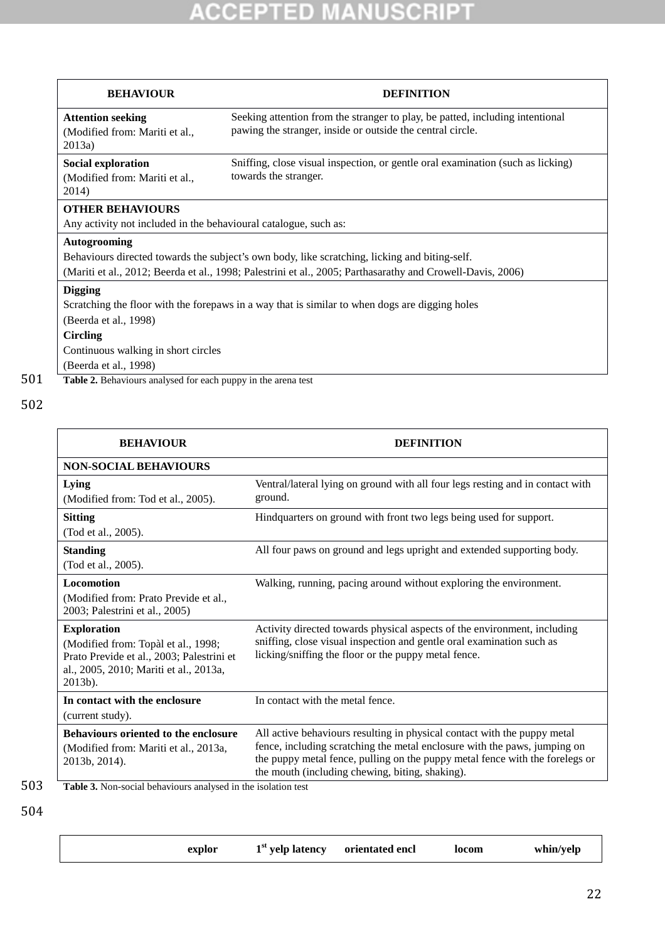### **ACCEPT** ED USCRIP1 W.

| <b>BEHAVIOUR</b>                                                                                                                                                                                    | <b>DEFINITION</b>                                                                                                                                                                                           |  |  |  |  |
|-----------------------------------------------------------------------------------------------------------------------------------------------------------------------------------------------------|-------------------------------------------------------------------------------------------------------------------------------------------------------------------------------------------------------------|--|--|--|--|
| <b>Attention seeking</b><br>(Modified from: Mariti et al.,<br>2013a)                                                                                                                                | Seeking attention from the stranger to play, be patted, including intentional<br>pawing the stranger, inside or outside the central circle.                                                                 |  |  |  |  |
| Social exploration<br>(Modified from: Mariti et al.,<br>2014)                                                                                                                                       | Sniffing, close visual inspection, or gentle oral examination (such as licking)<br>towards the stranger.                                                                                                    |  |  |  |  |
| <b>OTHER BEHAVIOURS</b>                                                                                                                                                                             | Any activity not included in the behavioural catalogue, such as:                                                                                                                                            |  |  |  |  |
| <b>Autogrooming</b>                                                                                                                                                                                 | Behaviours directed towards the subject's own body, like scratching, licking and biting-self.<br>(Mariti et al., 2012; Beerda et al., 1998; Palestrini et al., 2005; Parthasarathy and Crowell-Davis, 2006) |  |  |  |  |
| <b>Digging</b><br>Scratching the floor with the forepaws in a way that is similar to when dogs are digging holes<br>(Beerda et al., 1998)<br><b>Circling</b><br>Continuous walking in short circles |                                                                                                                                                                                                             |  |  |  |  |
| (Beerda et al., 1998)<br>Table 2. Behaviours analysed for each puppy in the arena test                                                                                                              |                                                                                                                                                                                                             |  |  |  |  |

502

| <b>BEHAVIOUR</b>                                                                                                                                               | <b>DEFINITION</b>                                                                                                                                                                                                                                                                        |  |  |
|----------------------------------------------------------------------------------------------------------------------------------------------------------------|------------------------------------------------------------------------------------------------------------------------------------------------------------------------------------------------------------------------------------------------------------------------------------------|--|--|
| <b>NON-SOCIAL BEHAVIOURS</b>                                                                                                                                   |                                                                                                                                                                                                                                                                                          |  |  |
| Lying<br>(Modified from: Tod et al., 2005).                                                                                                                    | Ventral/lateral lying on ground with all four legs resting and in contact with<br>ground.                                                                                                                                                                                                |  |  |
| <b>Sitting</b><br>(Tod et al., 2005).                                                                                                                          | Hindquarters on ground with front two legs being used for support.                                                                                                                                                                                                                       |  |  |
| <b>Standing</b><br>(Tod et al., 2005).                                                                                                                         | All four paws on ground and legs upright and extended supporting body.                                                                                                                                                                                                                   |  |  |
| <b>Locomotion</b><br>(Modified from: Prato Previde et al.,<br>2003; Palestrini et al., 2005)                                                                   | Walking, running, pacing around without exploring the environment.                                                                                                                                                                                                                       |  |  |
| <b>Exploration</b><br>(Modified from: Topàl et al., 1998;<br>Prato Previde et al., 2003; Palestrini et<br>al., 2005, 2010; Mariti et al., 2013a,<br>$2013b$ ). | Activity directed towards physical aspects of the environment, including<br>sniffing, close visual inspection and gentle oral examination such as<br>licking/sniffing the floor or the puppy metal fence.                                                                                |  |  |
| In contact with the enclosure<br>(current study).                                                                                                              | In contact with the metal fence.                                                                                                                                                                                                                                                         |  |  |
| <b>Behaviours oriented to the enclosure</b><br>(Modified from: Mariti et al., 2013a,<br>2013b, 2014).                                                          | All active behaviours resulting in physical contact with the puppy metal<br>fence, including scratching the metal enclosure with the paws, jumping on<br>the puppy metal fence, pulling on the puppy metal fence with the forelegs or<br>the mouth (including chewing, biting, shaking). |  |  |

| explor | 1 <sup>st</sup> yelp latency orientated encl | locom | whin/yelp |
|--------|----------------------------------------------|-------|-----------|
|        |                                              |       |           |